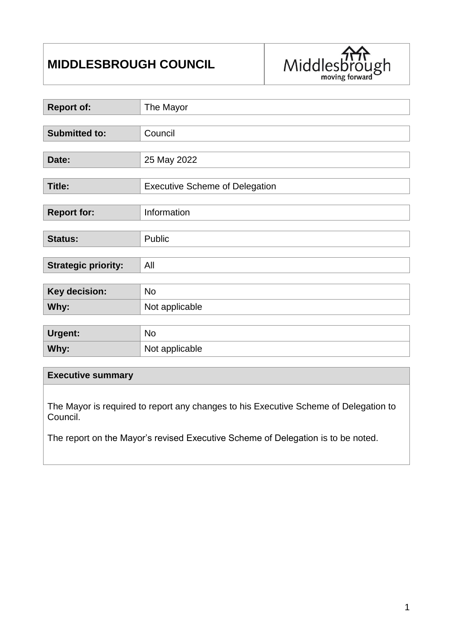# **MIDDLESBROUGH COUNCIL**



| <b>Report of:</b>          | The Mayor                             |  |  |
|----------------------------|---------------------------------------|--|--|
|                            |                                       |  |  |
| <b>Submitted to:</b>       | Council                               |  |  |
|                            |                                       |  |  |
| Date:                      | 25 May 2022                           |  |  |
|                            |                                       |  |  |
| <b>Title:</b>              | <b>Executive Scheme of Delegation</b> |  |  |
|                            |                                       |  |  |
| <b>Report for:</b>         | Information                           |  |  |
|                            |                                       |  |  |
| <b>Status:</b>             | Public                                |  |  |
|                            |                                       |  |  |
| <b>Strategic priority:</b> | All                                   |  |  |
|                            |                                       |  |  |
| Key decision:              | <b>No</b>                             |  |  |
| Why:                       | Not applicable                        |  |  |
|                            |                                       |  |  |
| <b>Urgent:</b>             | <b>No</b>                             |  |  |
| Why:                       | Not applicable                        |  |  |

### **Executive summary**

The Mayor is required to report any changes to his Executive Scheme of Delegation to Council.

The report on the Mayor's revised Executive Scheme of Delegation is to be noted.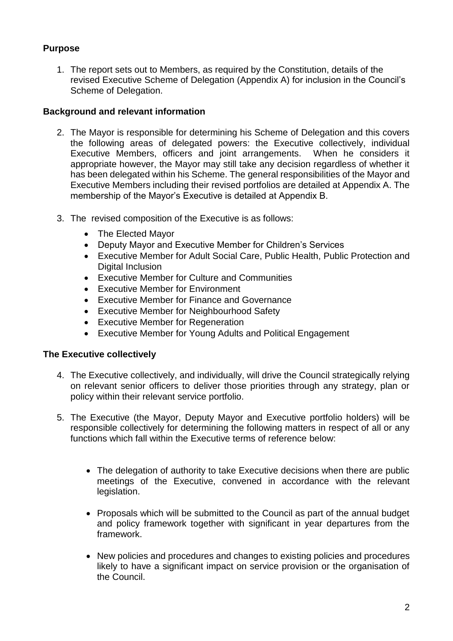# **Purpose**

1. The report sets out to Members, as required by the Constitution, details of the revised Executive Scheme of Delegation (Appendix A) for inclusion in the Council's Scheme of Delegation.

### **Background and relevant information**

- 2. The Mayor is responsible for determining his Scheme of Delegation and this covers the following areas of delegated powers: the Executive collectively, individual Executive Members, officers and joint arrangements. When he considers it appropriate however, the Mayor may still take any decision regardless of whether it has been delegated within his Scheme. The general responsibilities of the Mayor and Executive Members including their revised portfolios are detailed at Appendix A. The membership of the Mayor's Executive is detailed at Appendix B.
- 3. The revised composition of the Executive is as follows:
	- The Elected Mavor
	- Deputy Mayor and Executive Member for Children's Services
	- Executive Member for Adult Social Care, Public Health, Public Protection and Digital Inclusion
	- Executive Member for Culture and Communities
	- **•** Executive Member for Environment
	- Executive Member for Finance and Governance
	- Executive Member for Neighbourhood Safety
	- Executive Member for Regeneration
	- Executive Member for Young Adults and Political Engagement

### **The Executive collectively**

- 4. The Executive collectively, and individually, will drive the Council strategically relying on relevant senior officers to deliver those priorities through any strategy, plan or policy within their relevant service portfolio.
- 5. The Executive (the Mayor, Deputy Mayor and Executive portfolio holders) will be responsible collectively for determining the following matters in respect of all or any functions which fall within the Executive terms of reference below:
	- The delegation of authority to take Executive decisions when there are public meetings of the Executive, convened in accordance with the relevant legislation.
	- Proposals which will be submitted to the Council as part of the annual budget and policy framework together with significant in year departures from the framework.
	- New policies and procedures and changes to existing policies and procedures likely to have a significant impact on service provision or the organisation of the Council.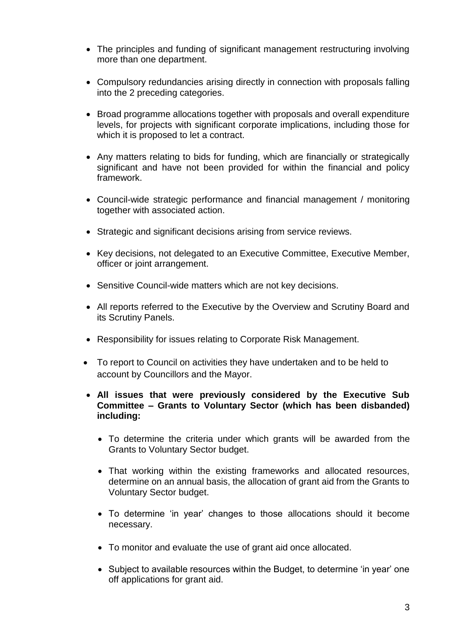- The principles and funding of significant management restructuring involving more than one department.
- Compulsory redundancies arising directly in connection with proposals falling into the 2 preceding categories.
- Broad programme allocations together with proposals and overall expenditure levels, for projects with significant corporate implications, including those for which it is proposed to let a contract.
- Any matters relating to bids for funding, which are financially or strategically significant and have not been provided for within the financial and policy framework.
- Council-wide strategic performance and financial management / monitoring together with associated action.
- Strategic and significant decisions arising from service reviews.
- Key decisions, not delegated to an Executive Committee, Executive Member, officer or joint arrangement.
- Sensitive Council-wide matters which are not key decisions.
- All reports referred to the Executive by the Overview and Scrutiny Board and its Scrutiny Panels.
- Responsibility for issues relating to Corporate Risk Management.
- To report to Council on activities they have undertaken and to be held to account by Councillors and the Mayor.
- **All issues that were previously considered by the Executive Sub Committee – Grants to Voluntary Sector (which has been disbanded) including:**
	- To determine the criteria under which grants will be awarded from the Grants to Voluntary Sector budget.
	- That working within the existing frameworks and allocated resources, determine on an annual basis, the allocation of grant aid from the Grants to Voluntary Sector budget.
	- To determine 'in year' changes to those allocations should it become necessary.
	- To monitor and evaluate the use of grant aid once allocated.
	- Subject to available resources within the Budget, to determine 'in year' one off applications for grant aid.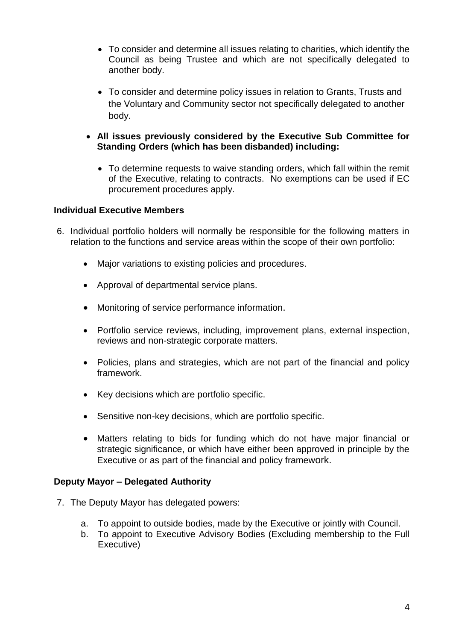- To consider and determine all issues relating to charities, which identify the Council as being Trustee and which are not specifically delegated to another body.
- To consider and determine policy issues in relation to Grants, Trusts and the Voluntary and Community sector not specifically delegated to another body.
- **All issues previously considered by the Executive Sub Committee for Standing Orders (which has been disbanded) including:**
	- To determine requests to waive standing orders, which fall within the remit of the Executive, relating to contracts. No exemptions can be used if EC procurement procedures apply.

### **Individual Executive Members**

- 6. Individual portfolio holders will normally be responsible for the following matters in relation to the functions and service areas within the scope of their own portfolio:
	- Major variations to existing policies and procedures.
	- Approval of departmental service plans.
	- Monitoring of service performance information.
	- Portfolio service reviews, including, improvement plans, external inspection, reviews and non-strategic corporate matters.
	- Policies, plans and strategies, which are not part of the financial and policy framework.
	- Key decisions which are portfolio specific.
	- Sensitive non-key decisions, which are portfolio specific.
	- Matters relating to bids for funding which do not have major financial or strategic significance, or which have either been approved in principle by the Executive or as part of the financial and policy framework.

### **Deputy Mayor – Delegated Authority**

- 7. The Deputy Mayor has delegated powers:
	- a. To appoint to outside bodies, made by the Executive or jointly with Council.
	- b. To appoint to Executive Advisory Bodies (Excluding membership to the Full Executive)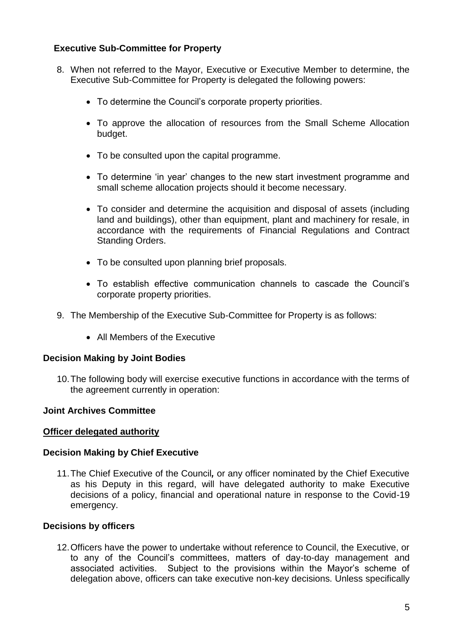### **Executive Sub-Committee for Property**

- 8. When not referred to the Mayor, Executive or Executive Member to determine, the Executive Sub-Committee for Property is delegated the following powers:
	- To determine the Council's corporate property priorities.
	- To approve the allocation of resources from the Small Scheme Allocation budget.
	- To be consulted upon the capital programme.
	- To determine 'in year' changes to the new start investment programme and small scheme allocation projects should it become necessary.
	- To consider and determine the acquisition and disposal of assets (including land and buildings), other than equipment, plant and machinery for resale, in accordance with the requirements of Financial Regulations and Contract Standing Orders.
	- To be consulted upon planning brief proposals.
	- To establish effective communication channels to cascade the Council's corporate property priorities.
- 9. The Membership of the Executive Sub-Committee for Property is as follows:
	- All Members of the Executive

### **Decision Making by Joint Bodies**

10.The following body will exercise executive functions in accordance with the terms of the agreement currently in operation:

### **Joint Archives Committee**

### **Officer delegated authority**

### **Decision Making by Chief Executive**

11.The Chief Executive of the Council*,* or any officer nominated by the Chief Executive as his Deputy in this regard, will have delegated authority to make Executive decisions of a policy, financial and operational nature in response to the Covid-19 emergency.

### **Decisions by officers**

12.Officers have the power to undertake without reference to Council, the Executive, or to any of the Council's committees, matters of day-to-day management and associated activities. Subject to the provisions within the Mayor's scheme of delegation above, officers can take executive non-key decisions. Unless specifically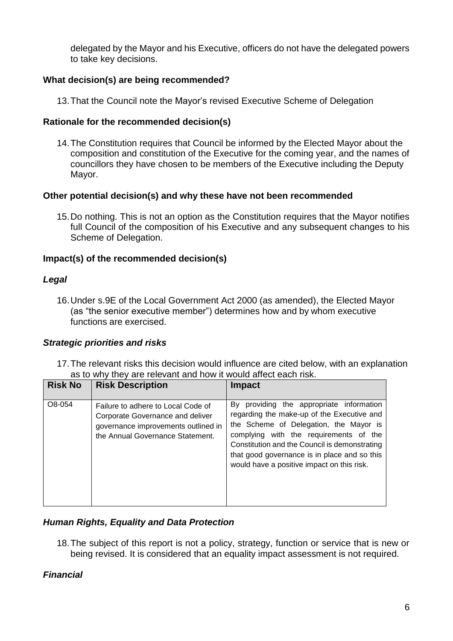delegated by the Mayor and his Executive, officers do not have the delegated powers to take key decisions.

### **What decision(s) are being recommended?**

13.That the Council note the Mayor's revised Executive Scheme of Delegation

### **Rationale for the recommended decision(s)**

14.The Constitution requires that Council be informed by the Elected Mayor about the composition and constitution of the Executive for the coming year, and the names of councillors they have chosen to be members of the Executive including the Deputy Mayor.

### **Other potential decision(s) and why these have not been recommended**

15.Do nothing. This is not an option as the Constitution requires that the Mayor notifies full Council of the composition of his Executive and any subsequent changes to his Scheme of Delegation.

### **Impact(s) of the recommended decision(s)**

### *Legal*

16.Under s.9E of the Local Government Act 2000 (as amended), the Elected Mayor (as "the senior executive member") determines how and by whom executive functions are exercised.

### *Strategic priorities and risks*

17.The relevant risks this decision would influence are cited below, with an explanation as to why they are relevant and how it would affect each risk.

| <b>Risk No</b> | <b>Risk Description</b>                                                                                                                           | <b>Impact</b>                                                                                                                                                                                                                                                                                                             |
|----------------|---------------------------------------------------------------------------------------------------------------------------------------------------|---------------------------------------------------------------------------------------------------------------------------------------------------------------------------------------------------------------------------------------------------------------------------------------------------------------------------|
| O8-054         | Failure to adhere to Local Code of<br>Corporate Governance and deliver<br>governance improvements outlined in<br>the Annual Governance Statement. | By providing the appropriate information<br>regarding the make-up of the Executive and<br>the Scheme of Delegation, the Mayor is<br>complying with the requirements of the<br>Constitution and the Council is demonstrating<br>that good governance is in place and so this<br>would have a positive impact on this risk. |

### *Human Rights, Equality and Data Protection*

18.The subject of this report is not a policy, strategy, function or service that is new or being revised. It is considered that an equality impact assessment is not required.

### *Financial*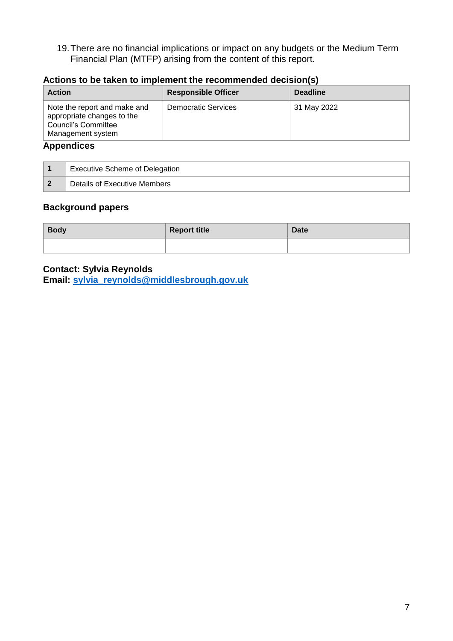19.There are no financial implications or impact on any budgets or the Medium Term Financial Plan (MTFP) arising from the content of this report.

| <b>Action</b>                                                                                                 | <b>Responsible Officer</b> | <b>Deadline</b> |
|---------------------------------------------------------------------------------------------------------------|----------------------------|-----------------|
| Note the report and make and<br>appropriate changes to the<br><b>Council's Committee</b><br>Management system | <b>Democratic Services</b> | 31 May 2022     |

### **Actions to be taken to implement the recommended decision(s)**

### **Appendices**

| <b>Executive Scheme of Delegation</b> |
|---------------------------------------|
| Details of Executive Members          |

### **Background papers**

| <b>Body</b> | <b>Report title</b> | Date |
|-------------|---------------------|------|
|             |                     |      |

# **Contact: Sylvia Reynolds**

**Email: [sylvia\\_](mailto:sylvia)reynolds@middlesbrough.gov.uk**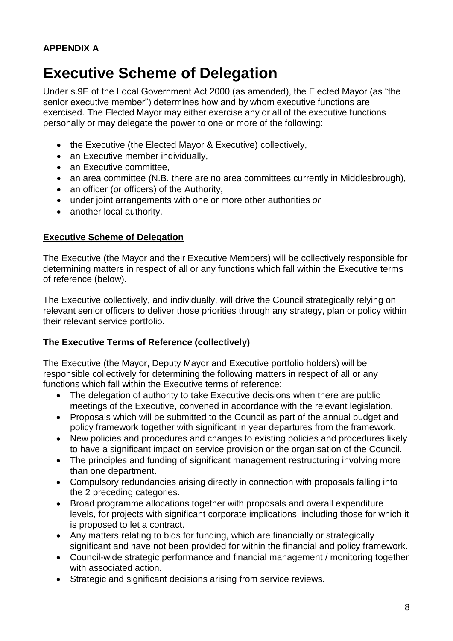# **Executive Scheme of Delegation**

Under s.9E of the Local Government Act 2000 (as amended), the Elected Mayor (as "the senior executive member") determines how and by whom executive functions are exercised. The Elected Mayor may either exercise any or all of the executive functions personally or may delegate the power to one or more of the following:

- the Executive (the Elected Mayor & Executive) collectively,
- an Executive member individually.
- an Executive committee,
- an area committee (N.B. there are no area committees currently in Middlesbrough),
- an officer (or officers) of the Authority,
- under joint arrangements with one or more other authorities *or*
- another local authority.

### **Executive Scheme of Delegation**

The Executive (the Mayor and their Executive Members) will be collectively responsible for determining matters in respect of all or any functions which fall within the Executive terms of reference (below).

The Executive collectively, and individually, will drive the Council strategically relying on relevant senior officers to deliver those priorities through any strategy, plan or policy within their relevant service portfolio.

### **The Executive Terms of Reference (collectively)**

The Executive (the Mayor, Deputy Mayor and Executive portfolio holders) will be responsible collectively for determining the following matters in respect of all or any functions which fall within the Executive terms of reference:

- The delegation of authority to take Executive decisions when there are public meetings of the Executive, convened in accordance with the relevant legislation.
- Proposals which will be submitted to the Council as part of the annual budget and policy framework together with significant in year departures from the framework.
- New policies and procedures and changes to existing policies and procedures likely to have a significant impact on service provision or the organisation of the Council.
- The principles and funding of significant management restructuring involving more than one department.
- Compulsory redundancies arising directly in connection with proposals falling into the 2 preceding categories.
- Broad programme allocations together with proposals and overall expenditure levels, for projects with significant corporate implications, including those for which it is proposed to let a contract.
- Any matters relating to bids for funding, which are financially or strategically significant and have not been provided for within the financial and policy framework.
- Council-wide strategic performance and financial management / monitoring together with associated action.
- Strategic and significant decisions arising from service reviews.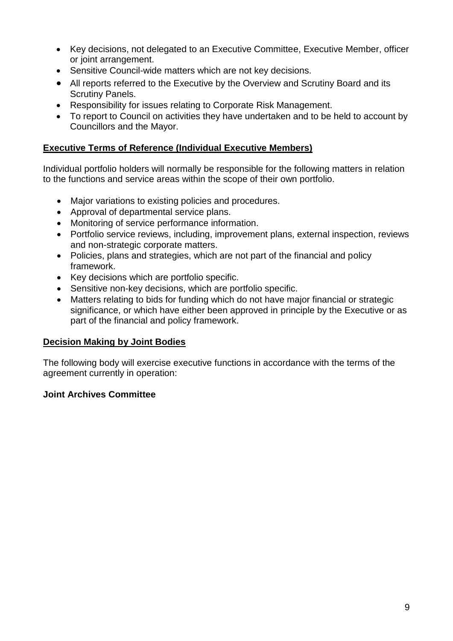- Key decisions, not delegated to an Executive Committee, Executive Member, officer or joint arrangement.
- Sensitive Council-wide matters which are not key decisions.
- All reports referred to the Executive by the Overview and Scrutiny Board and its Scrutiny Panels.
- Responsibility for issues relating to Corporate Risk Management.
- To report to Council on activities they have undertaken and to be held to account by Councillors and the Mayor.

# **Executive Terms of Reference (Individual Executive Members)**

Individual portfolio holders will normally be responsible for the following matters in relation to the functions and service areas within the scope of their own portfolio.

- Major variations to existing policies and procedures.
- Approval of departmental service plans.
- Monitoring of service performance information.
- Portfolio service reviews, including, improvement plans, external inspection, reviews and non-strategic corporate matters.
- Policies, plans and strategies, which are not part of the financial and policy framework.
- Key decisions which are portfolio specific.
- Sensitive non-key decisions, which are portfolio specific.
- Matters relating to bids for funding which do not have major financial or strategic significance, or which have either been approved in principle by the Executive or as part of the financial and policy framework.

### **Decision Making by Joint Bodies**

The following body will exercise executive functions in accordance with the terms of the agreement currently in operation:

# **Joint Archives Committee**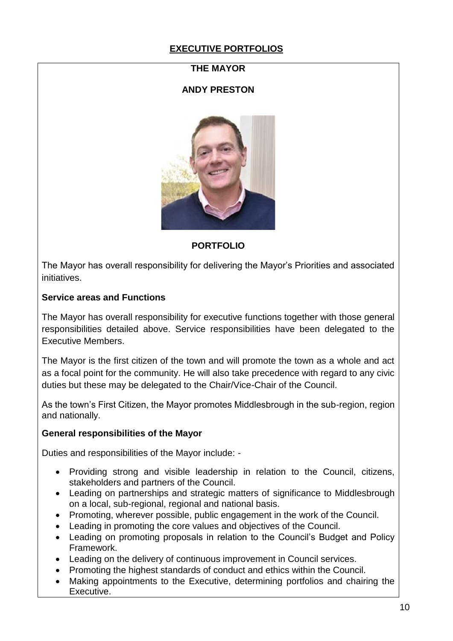# **EXECUTIVE PORTFOLIOS**

### **THE MAYOR**

### **ANDY PRESTON**



### **PORTFOLIO**

The Mayor has overall responsibility for delivering the Mayor's Priorities and associated initiatives.

### **Service areas and Functions**

The Mayor has overall responsibility for executive functions together with those general responsibilities detailed above. Service responsibilities have been delegated to the Executive Members.

The Mayor is the first citizen of the town and will promote the town as a whole and act as a focal point for the community. He will also take precedence with regard to any civic duties but these may be delegated to the Chair/Vice-Chair of the Council.

As the town's First Citizen, the Mayor promotes Middlesbrough in the sub-region, region and nationally.

### **General responsibilities of the Mayor**

Duties and responsibilities of the Mayor include: -

- Providing strong and visible leadership in relation to the Council, citizens, stakeholders and partners of the Council.
- Leading on partnerships and strategic matters of significance to Middlesbrough on a local, sub-regional, regional and national basis.
- Promoting, wherever possible, public engagement in the work of the Council.
- Leading in promoting the core values and objectives of the Council.
- Leading on promoting proposals in relation to the Council's Budget and Policy Framework.
- Leading on the delivery of continuous improvement in Council services.
- Promoting the highest standards of conduct and ethics within the Council.
- Making appointments to the Executive, determining portfolios and chairing the Executive.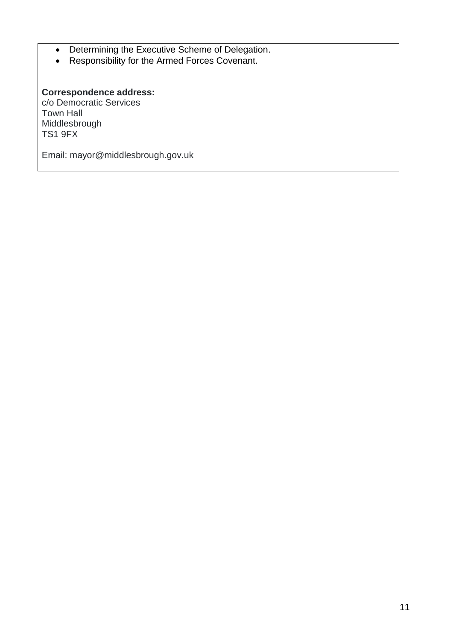- Determining the Executive Scheme of Delegation.
- Responsibility for the Armed Forces Covenant.

# **Correspondence address:**

c/o Democratic Services Town Hall Middlesbrough TS1 9FX

Email: mayor@middlesbrough.gov.uk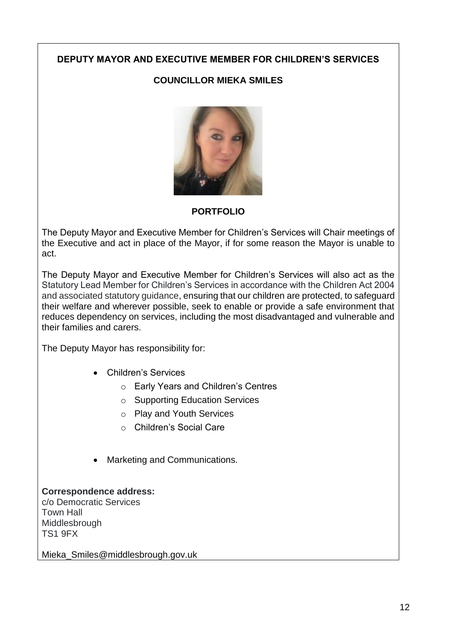### **DEPUTY MAYOR AND EXECUTIVE MEMBER FOR CHILDREN'S SERVICES**

# **COUNCILLOR MIEKA SMILES**



### **PORTFOLIO**

The Deputy Mayor and Executive Member for Children's Services will Chair meetings of the Executive and act in place of the Mayor, if for some reason the Mayor is unable to act.

The Deputy Mayor and Executive Member for Children's Services will also act as the Statutory Lead Member for Children's Services in accordance with the Children Act 2004 and associated statutory guidance, ensuring that our children are protected, to safeguard their welfare and wherever possible, seek to enable or provide a safe environment that reduces dependency on services, including the most disadvantaged and vulnerable and their families and carers.

The Deputy Mayor has responsibility for:

- Children's Services
	- o Early Years and Children's Centres
	- o Supporting Education Services
	- o Play and Youth Services
	- o Children's Social Care
- Marketing and Communications.

# **Correspondence address:**

c/o Democratic Services Town Hall **Middlesbrough** TS1 9FX

Mieka Smiles@middlesbrough.gov.uk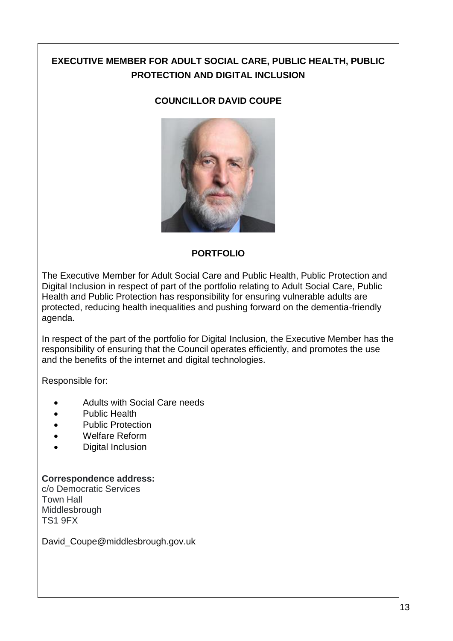# **EXECUTIVE MEMBER FOR ADULT SOCIAL CARE, PUBLIC HEALTH, PUBLIC PROTECTION AND DIGITAL INCLUSION**

### **COUNCILLOR DAVID COUPE**



### **PORTFOLIO**

The Executive Member for Adult Social Care and Public Health, Public Protection and Digital Inclusion in respect of part of the portfolio relating to Adult Social Care, Public Health and Public Protection has responsibility for ensuring vulnerable adults are protected, reducing health inequalities and pushing forward on the dementia-friendly agenda.

In respect of the part of the portfolio for Digital Inclusion, the Executive Member has the responsibility of ensuring that the Council operates efficiently, and promotes the use and the benefits of the internet and digital technologies.

Responsible for:

- Adults with Social Care needs
- Public Health
- Public Protection
- Welfare Reform
- Digital Inclusion

### **Correspondence address:**

c/o Democratic Services Town Hall Middlesbrough TS1 9FX

David Coupe@middlesbrough.gov.uk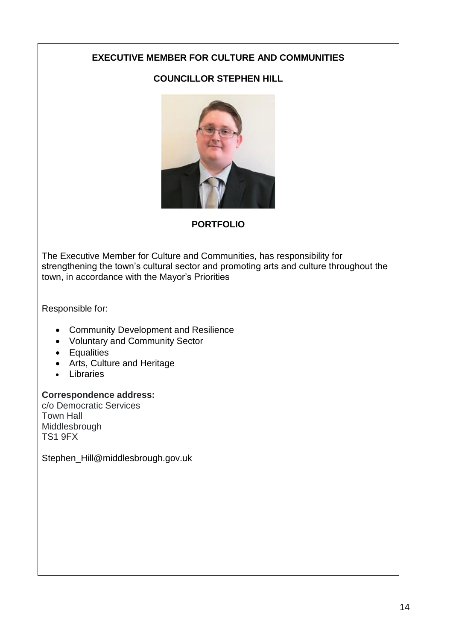# **EXECUTIVE MEMBER FOR CULTURE AND COMMUNITIES**

# **COUNCILLOR STEPHEN HILL**



# **PORTFOLIO**

The Executive Member for Culture and Communities, has responsibility for strengthening the town's cultural sector and promoting arts and culture throughout the town, in accordance with the Mayor's Priorities

Responsible for:

- Community Development and Resilience
- Voluntary and Community Sector
- Equalities
- Arts, Culture and Heritage
- Libraries

### **Correspondence address:**

c/o Democratic Services Town Hall Middlesbrough TS1 9FX

Stephen\_Hill@middlesbrough.gov.uk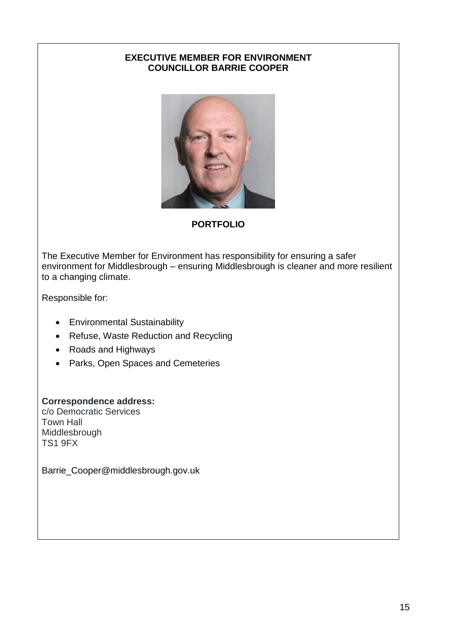## **EXECUTIVE MEMBER FOR ENVIRONMENT COUNCILLOR BARRIE COOPER**



# **PORTFOLIO**

The Executive Member for Environment has responsibility for ensuring a safer environment for Middlesbrough – ensuring Middlesbrough is cleaner and more resilient to a changing climate.

Responsible for:

- Environmental Sustainability
- Refuse, Waste Reduction and Recycling
- Roads and Highways
- Parks, Open Spaces and Cemeteries

# **Correspondence address:**

c/o Democratic Services Town Hall Middlesbrough TS1 9FX

Barrie\_Cooper@middlesbrough.gov.uk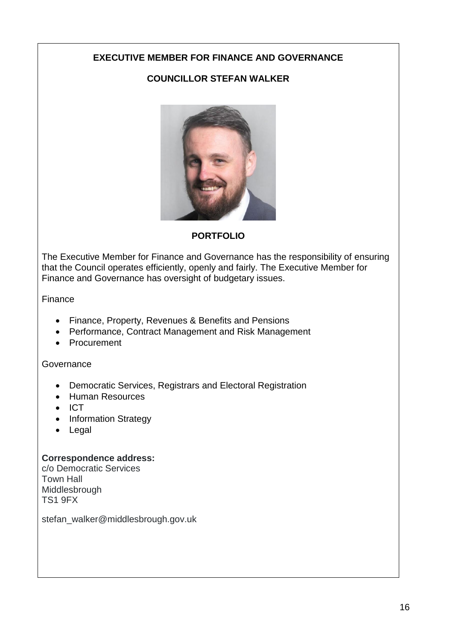# **EXECUTIVE MEMBER FOR FINANCE AND GOVERNANCE**

# **COUNCILLOR STEFAN WALKER**



### **PORTFOLIO**

The Executive Member for Finance and Governance has the responsibility of ensuring that the Council operates efficiently, openly and fairly. The Executive Member for Finance and Governance has oversight of budgetary issues.

Finance

- Finance, Property, Revenues & Benefits and Pensions
- Performance, Contract Management and Risk Management
- Procurement

### Governance

- Democratic Services, Registrars and Electoral Registration
- Human Resources
- $\bullet$  ICT
- Information Strategy
- Legal

### **Correspondence address:**

c/o Democratic Services Town Hall Middlesbrough TS1 9FX

stefan\_walker@middlesbrough.gov.uk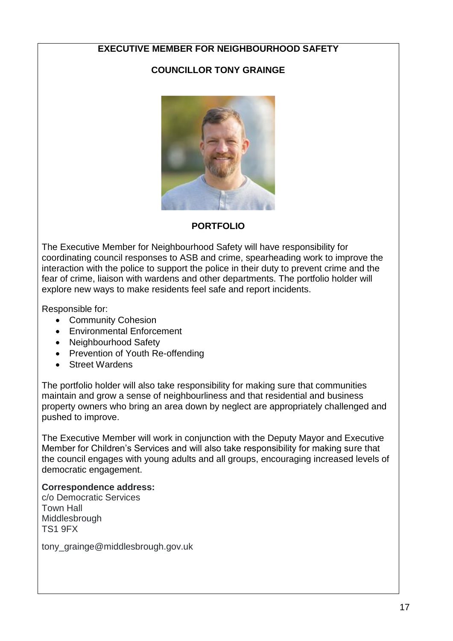# **EXECUTIVE MEMBER FOR NEIGHBOURHOOD SAFETY**

# **COUNCILLOR TONY GRAINGE**



### **PORTFOLIO**

The Executive Member for Neighbourhood Safety will have responsibility for coordinating council responses to ASB and crime, spearheading work to improve the interaction with the police to support the police in their duty to prevent crime and the fear of crime, liaison with wardens and other departments. The portfolio holder will explore new ways to make residents feel safe and report incidents.

Responsible for:

- Community Cohesion
- Environmental Enforcement
- Neighbourhood Safety
- Prevention of Youth Re-offending
- Street Wardens

The portfolio holder will also take responsibility for making sure that communities maintain and grow a sense of neighbourliness and that residential and business property owners who bring an area down by neglect are appropriately challenged and pushed to improve.

The Executive Member will work in conjunction with the Deputy Mayor and Executive Member for Children's Services and will also take responsibility for making sure that the council engages with young adults and all groups, encouraging increased levels of democratic engagement.

### **Correspondence address:**

c/o Democratic Services Town Hall Middlesbrough TS1 9FX

tony\_grainge@middlesbrough.gov.uk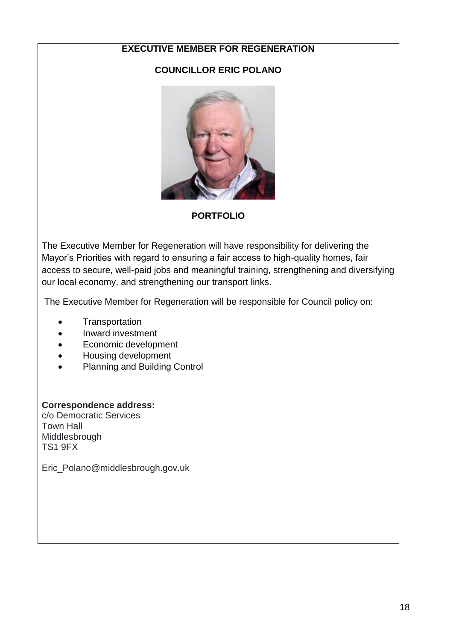### **EXECUTIVE MEMBER FOR REGENERATION**

### **COUNCILLOR ERIC POLANO**



**PORTFOLIO**

The Executive Member for Regeneration will have responsibility for delivering the Mayor's Priorities with regard to ensuring a fair access to high-quality homes, fair access to secure, well-paid jobs and meaningful training, strengthening and diversifying our local economy, and strengthening our transport links.

The Executive Member for Regeneration will be responsible for Council policy on:

- **Transportation**
- Inward investment
- Economic development
- Housing development
- Planning and Building Control

### **Correspondence address:**

c/o Democratic Services Town Hall Middlesbrough TS1 9FX

Eric\_Polano@middlesbrough.gov.uk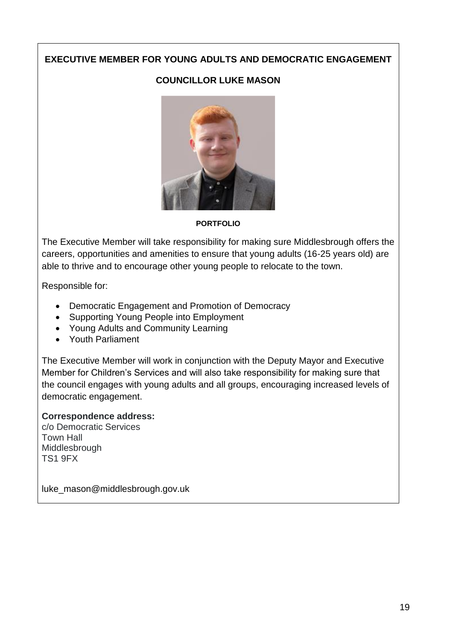# **EXECUTIVE MEMBER FOR YOUNG ADULTS AND DEMOCRATIC ENGAGEMENT**

## **COUNCILLOR LUKE MASON**



**PORTFOLIO**

The Executive Member will take responsibility for making sure Middlesbrough offers the careers, opportunities and amenities to ensure that young adults (16-25 years old) are able to thrive and to encourage other young people to relocate to the town.

Responsible for:

- Democratic Engagement and Promotion of Democracy
- Supporting Young People into Employment
- Young Adults and Community Learning
- Youth Parliament

The Executive Member will work in conjunction with the Deputy Mayor and Executive Member for Children's Services and will also take responsibility for making sure that the council engages with young adults and all groups, encouraging increased levels of democratic engagement.

### **Correspondence address:**

c/o Democratic Services Town Hall **Middlesbrough** TS1 9FX

luke\_mason@middlesbrough.gov.uk